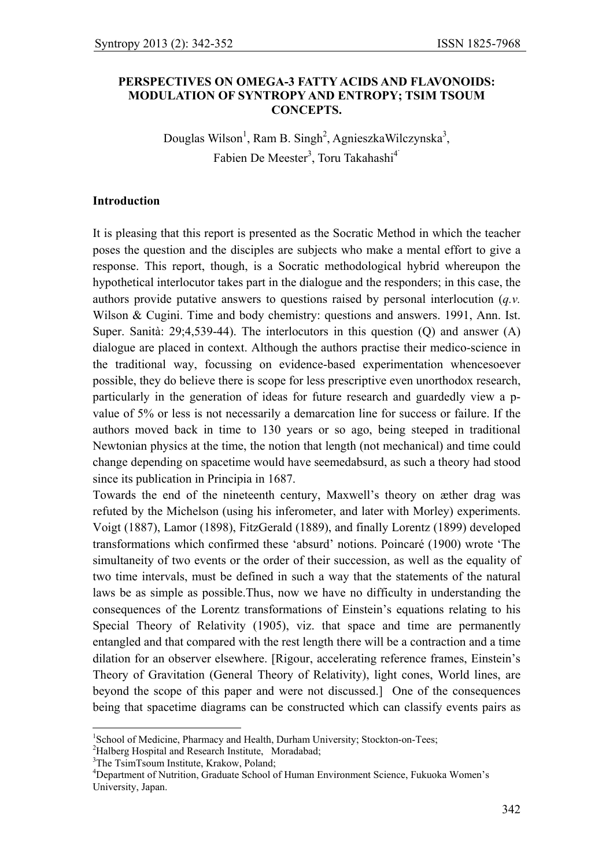### **PERSPECTIVES ON OMEGA-3 FATTY ACIDS AND FLAVONOIDS: MODULATION OF SYNTROPY AND ENTROPY; TSIM TSOUM CONCEPTS.**

Douglas Wilson<sup>1</sup>, Ram B. Singh<sup>2</sup>, AgnieszkaWilczynska<sup>3</sup>, Fabien De Meester<sup>3</sup>, Toru Takahashi<sup>4</sup>

### **Introduction**

It is pleasing that this report is presented as the Socratic Method in which the teacher poses the question and the disciples are subjects who make a mental effort to give a response. This report, though, is a Socratic methodological hybrid whereupon the hypothetical interlocutor takes part in the dialogue and the responders; in this case, the authors provide putative answers to questions raised by personal interlocution (*q.v.*  Wilson & Cugini. Time and body chemistry: questions and answers. 1991, Ann. Ist. Super. Sanità: 29;4,539-44). The interlocutors in this question (Q) and answer (A) dialogue are placed in context. Although the authors practise their medico-science in the traditional way, focussing on evidence-based experimentation whencesoever possible, they do believe there is scope for less prescriptive even unorthodox research, particularly in the generation of ideas for future research and guardedly view a pvalue of 5% or less is not necessarily a demarcation line for success or failure. If the authors moved back in time to 130 years or so ago, being steeped in traditional Newtonian physics at the time, the notion that length (not mechanical) and time could change depending on spacetime would have seemedabsurd, as such a theory had stood since its publication in Principia in 1687.

Towards the end of the nineteenth century, Maxwell's theory on æther drag was refuted by the Michelson (using his inferometer, and later with Morley) experiments. Voigt (1887), Lamor (1898), FitzGerald (1889), and finally Lorentz (1899) developed transformations which confirmed these 'absurd' notions. Poincaré (1900) wrote 'The simultaneity of two events or the order of their succession, as well as the equality of two time intervals, must be defined in such a way that the statements of the natural laws be as simple as possible.Thus, now we have no difficulty in understanding the consequences of the Lorentz transformations of Einstein's equations relating to his Special Theory of Relativity (1905), viz. that space and time are permanently entangled and that compared with the rest length there will be a contraction and a time dilation for an observer elsewhere. [Rigour, accelerating reference frames, Einstein's Theory of Gravitation (General Theory of Relativity), light cones, World lines, are beyond the scope of this paper and were not discussed.] One of the consequences being that spacetime diagrams can be constructed which can classify events pairs as

<sup>2</sup>Halberg Hospital and Research Institute, Moradabad:

 $\overline{a}$ 

<sup>&</sup>lt;sup>1</sup>School of Medicine, Pharmacy and Health, Durham University; Stockton-on-Tees;

<sup>&</sup>lt;sup>3</sup>The TsimTsoum Institute, Krakow, Poland;

<sup>4</sup> Department of Nutrition, Graduate School of Human Environment Science, Fukuoka Women's University, Japan.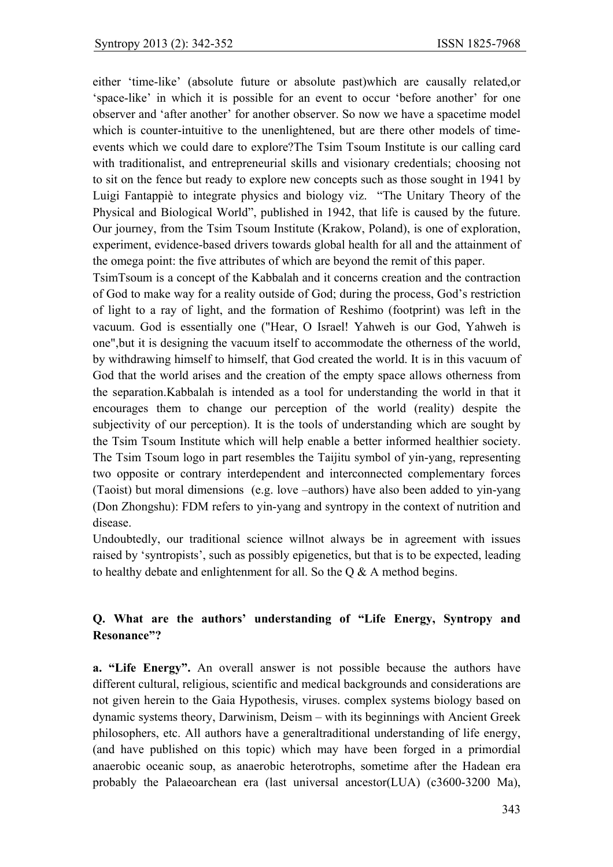either 'time-like' (absolute future or absolute past)which are causally related,or 'space-like' in which it is possible for an event to occur 'before another' for one observer and 'after another' for another observer. So now we have a spacetime model which is counter-intuitive to the unenlightened, but are there other models of timeevents which we could dare to explore?The Tsim Tsoum Institute is our calling card with traditionalist, and entrepreneurial skills and visionary credentials; choosing not to sit on the fence but ready to explore new concepts such as those sought in 1941 by Luigi Fantappiè to integrate physics and biology viz. "The Unitary Theory of the Physical and Biological World", published in 1942, that life is caused by the future. Our journey, from the Tsim Tsoum Institute (Krakow, Poland), is one of exploration, experiment, evidence-based drivers towards global health for all and the attainment of the omega point: the five attributes of which are beyond the remit of this paper.

TsimTsoum is a concept of the Kabbalah and it concerns creation and the contraction of God to make way for a reality outside of God; during the process, God's restriction of light to a ray of light, and the formation of Reshimo (footprint) was left in the vacuum. God is essentially one ("Hear, O Israel! Yahweh is our God, Yahweh is one",but it is designing the vacuum itself to accommodate the otherness of the world, by withdrawing himself to himself, that God created the world. It is in this vacuum of God that the world arises and the creation of the empty space allows otherness from the separation.Kabbalah is intended as a tool for understanding the world in that it encourages them to change our perception of the world (reality) despite the subjectivity of our perception). It is the tools of understanding which are sought by the Tsim Tsoum Institute which will help enable a better informed healthier society. The Tsim Tsoum logo in part resembles the Taijitu symbol of yin-yang, representing two opposite or contrary interdependent and interconnected complementary forces (Taoist) but moral dimensions (e.g. love –authors) have also been added to yin-yang (Don Zhongshu): FDM refers to yin-yang and syntropy in the context of nutrition and disease.

Undoubtedly, our traditional science willnot always be in agreement with issues raised by 'syntropists', such as possibly epigenetics, but that is to be expected, leading to healthy debate and enlightenment for all. So the Q & A method begins.

# **Q. What are the authors' understanding of "Life Energy, Syntropy and Resonance"?**

**a. "Life Energy".** An overall answer is not possible because the authors have different cultural, religious, scientific and medical backgrounds and considerations are not given herein to the Gaia Hypothesis, viruses. complex systems biology based on dynamic systems theory, Darwinism, Deism – with its beginnings with Ancient Greek philosophers, etc. All authors have a generaltraditional understanding of life energy, (and have published on this topic) which may have been forged in a primordial anaerobic oceanic soup, as anaerobic heterotrophs, sometime after the Hadean era probably the Palaeoarchean era (last universal ancestor(LUA) (c3600-3200 Ma),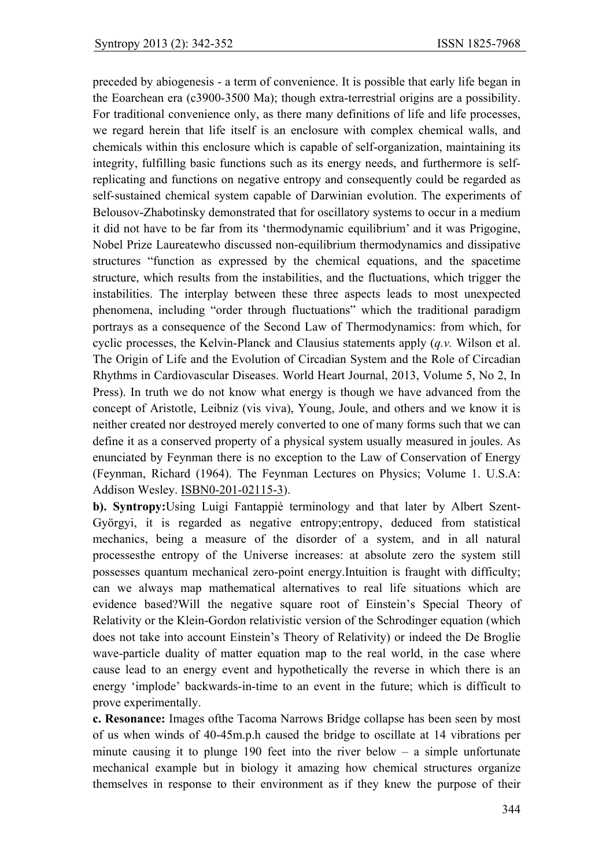preceded by abiogenesis - a term of convenience. It is possible that early life began in the Eoarchean era (c3900-3500 Ma); though extra-terrestrial origins are a possibility. For traditional convenience only, as there many definitions of life and life processes, we regard herein that life itself is an enclosure with complex chemical walls, and chemicals within this enclosure which is capable of self-organization, maintaining its integrity, fulfilling basic functions such as its energy needs, and furthermore is selfreplicating and functions on negative entropy and consequently could be regarded as self-sustained chemical system capable of Darwinian evolution. The experiments of Belousov-Zhabotinsky demonstrated that for oscillatory systems to occur in a medium it did not have to be far from its 'thermodynamic equilibrium' and it was Prigogine, Nobel Prize Laureatewho discussed non-equilibrium thermodynamics and dissipative structures "function as expressed by the chemical equations, and the spacetime structure, which results from the instabilities, and the fluctuations, which trigger the instabilities. The interplay between these three aspects leads to most unexpected phenomena, including "order through fluctuations" which the traditional paradigm portrays as a consequence of the Second Law of Thermodynamics: from which, for cyclic processes, the Kelvin-Planck and Clausius statements apply (*q.v.* Wilson et al. The Origin of Life and the Evolution of Circadian System and the Role of Circadian Rhythms in Cardiovascular Diseases. World Heart Journal, 2013, Volume 5, No 2, In Press). In truth we do not know what energy is though we have advanced from the concept of Aristotle, Leibniz (vis viva), Young, Joule, and others and we know it is neither created nor destroyed merely converted to one of many forms such that we can define it as a conserved property of a physical system usually measured in joules. As enunciated by Feynman there is no exception to the Law of Conservation of Energy (Feynman, Richard (1964). The Feynman Lectures on Physics; Volume 1. U.S.A: Addison Wesley. ISBN0-201-02115-3).

**b). Syntropy:**Using Luigi Fantappiè terminology and that later by Albert Szent-Györgyi, it is regarded as negative entropy;entropy, deduced from statistical mechanics, being a measure of the disorder of a system, and in all natural processesthe entropy of the Universe increases: at absolute zero the system still possesses quantum mechanical zero-point energy.Intuition is fraught with difficulty; can we always map mathematical alternatives to real life situations which are evidence based?Will the negative square root of Einstein's Special Theory of Relativity or the Klein-Gordon relativistic version of the Schrodinger equation (which does not take into account Einstein's Theory of Relativity) or indeed the De Broglie wave-particle duality of matter equation map to the real world, in the case where cause lead to an energy event and hypothetically the reverse in which there is an energy 'implode' backwards-in-time to an event in the future; which is difficult to prove experimentally.

**c. Resonance:** Images ofthe Tacoma Narrows Bridge collapse has been seen by most of us when winds of 40-45m.p.h caused the bridge to oscillate at 14 vibrations per minute causing it to plunge 190 feet into the river below  $-$  a simple unfortunate mechanical example but in biology it amazing how chemical structures organize themselves in response to their environment as if they knew the purpose of their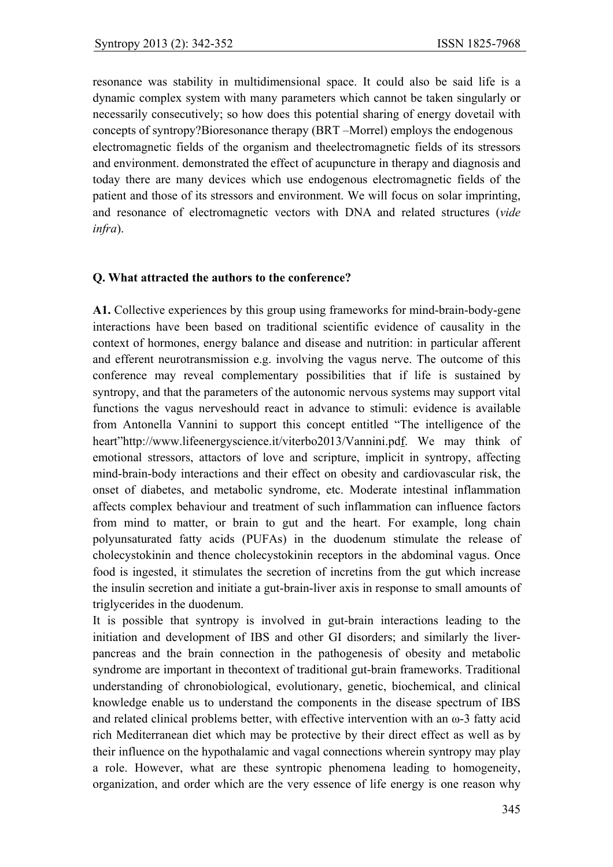resonance was stability in multidimensional space. It could also be said life is a dynamic complex system with many parameters which cannot be taken singularly or necessarily consecutively; so how does this potential sharing of energy dovetail with concepts of syntropy?Bioresonance therapy (BRT –Morrel) employs the endogenous electromagnetic fields of the organism and theelectromagnetic fields of its stressors and environment. demonstrated the effect of acupuncture in therapy and diagnosis and today there are many devices which use endogenous electromagnetic fields of the patient and those of its stressors and environment. We will focus on solar imprinting, and resonance of electromagnetic vectors with DNA and related structures (*vide infra*).

### **Q. What attracted the authors to the conference?**

**A1.** Collective experiences by this group using frameworks for mind-brain-body-gene interactions have been based on traditional scientific evidence of causality in the context of hormones, energy balance and disease and nutrition: in particular afferent and efferent neurotransmission e.g. involving the vagus nerve. The outcome of this conference may reveal complementary possibilities that if life is sustained by syntropy, and that the parameters of the autonomic nervous systems may support vital functions the vagus nerveshould react in advance to stimuli: evidence is available from Antonella Vannini to support this concept entitled "The intelligence of the heart"http://www.lifeenergyscience.it/viterbo2013/Vannini.pdf. We may think of emotional stressors, attactors of love and scripture, implicit in syntropy, affecting mind-brain-body interactions and their effect on obesity and cardiovascular risk, the onset of diabetes, and metabolic syndrome, etc. Moderate intestinal inflammation affects complex behaviour and treatment of such inflammation can influence factors from mind to matter, or brain to gut and the heart. For example, long chain polyunsaturated fatty acids (PUFAs) in the duodenum stimulate the release of cholecystokinin and thence cholecystokinin receptors in the abdominal vagus. Once food is ingested, it stimulates the secretion of incretins from the gut which increase the insulin secretion and initiate a gut-brain-liver axis in response to small amounts of triglycerides in the duodenum.

It is possible that syntropy is involved in gut-brain interactions leading to the initiation and development of IBS and other GI disorders; and similarly the liverpancreas and the brain connection in the pathogenesis of obesity and metabolic syndrome are important in thecontext of traditional gut-brain frameworks. Traditional understanding of chronobiological, evolutionary, genetic, biochemical, and clinical knowledge enable us to understand the components in the disease spectrum of IBS and related clinical problems better, with effective intervention with an ω-3 fatty acid rich Mediterranean diet which may be protective by their direct effect as well as by their influence on the hypothalamic and vagal connections wherein syntropy may play a role. However, what are these syntropic phenomena leading to homogeneity, organization, and order which are the very essence of life energy is one reason why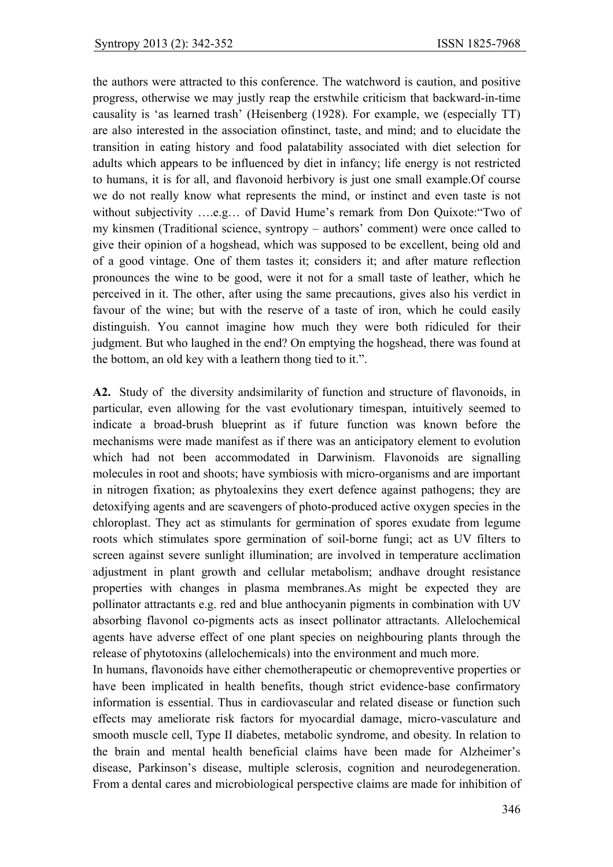the authors were attracted to this conference. The watchword is caution, and positive progress, otherwise we may justly reap the erstwhile criticism that backward-in-time causality is 'as learned trash' (Heisenberg (1928). For example, we (especially TT) are also interested in the association ofinstinct, taste, and mind; and to elucidate the transition in eating history and food palatability associated with diet selection for adults which appears to be influenced by diet in infancy; life energy is not restricted to humans, it is for all, and flavonoid herbivory is just one small example.Of course we do not really know what represents the mind, or instinct and even taste is not without subjectivity ….e.g… of David Hume's remark from Don Quixote:"Two of my kinsmen (Traditional science, syntropy – authors' comment) were once called to give their opinion of a hogshead, which was supposed to be excellent, being old and of a good vintage. One of them tastes it; considers it; and after mature reflection pronounces the wine to be good, were it not for a small taste of leather, which he perceived in it. The other, after using the same precautions, gives also his verdict in favour of the wine; but with the reserve of a taste of iron, which he could easily distinguish. You cannot imagine how much they were both ridiculed for their judgment. But who laughed in the end? On emptying the hogshead, there was found at the bottom, an old key with a leathern thong tied to it.".

**A2.** Study of the diversity andsimilarity of function and structure of flavonoids, in particular, even allowing for the vast evolutionary timespan, intuitively seemed to indicate a broad-brush blueprint as if future function was known before the mechanisms were made manifest as if there was an anticipatory element to evolution which had not been accommodated in Darwinism. Flavonoids are signalling molecules in root and shoots; have symbiosis with micro-organisms and are important in nitrogen fixation; as phytoalexins they exert defence against pathogens; they are detoxifying agents and are scavengers of photo-produced active oxygen species in the chloroplast. They act as stimulants for germination of spores exudate from legume roots which stimulates spore germination of soil-borne fungi; act as UV filters to screen against severe sunlight illumination; are involved in temperature acclimation adjustment in plant growth and cellular metabolism; andhave drought resistance properties with changes in plasma membranes.As might be expected they are pollinator attractants e.g. red and blue anthocyanin pigments in combination with UV absorbing flavonol co-pigments acts as insect pollinator attractants. Allelochemical agents have adverse effect of one plant species on neighbouring plants through the release of phytotoxins (allelochemicals) into the environment and much more.

In humans, flavonoids have either chemotherapeutic or chemopreventive properties or have been implicated in health benefits, though strict evidence-base confirmatory information is essential. Thus in cardiovascular and related disease or function such effects may ameliorate risk factors for myocardial damage, micro-vasculature and smooth muscle cell, Type II diabetes, metabolic syndrome, and obesity. In relation to the brain and mental health beneficial claims have been made for Alzheimer's disease, Parkinson's disease, multiple sclerosis, cognition and neurodegeneration. From a dental cares and microbiological perspective claims are made for inhibition of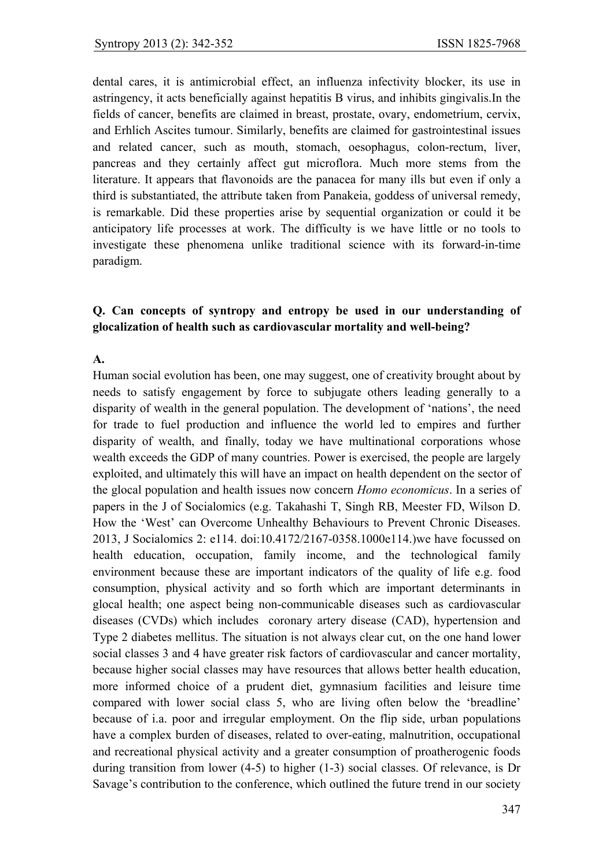dental cares, it is antimicrobial effect, an influenza infectivity blocker, its use in astringency, it acts beneficially against hepatitis B virus, and inhibits gingivalis.In the fields of cancer, benefits are claimed in breast, prostate, ovary, endometrium, cervix, and Erhlich Ascites tumour. Similarly, benefits are claimed for gastrointestinal issues and related cancer, such as mouth, stomach, oesophagus, colon-rectum, liver, pancreas and they certainly affect gut microflora. Much more stems from the literature. It appears that flavonoids are the panacea for many ills but even if only a third is substantiated, the attribute taken from Panakeia, goddess of universal remedy, is remarkable. Did these properties arise by sequential organization or could it be anticipatory life processes at work. The difficulty is we have little or no tools to investigate these phenomena unlike traditional science with its forward-in-time paradigm.

## **Q. Can concepts of syntropy and entropy be used in our understanding of glocalization of health such as cardiovascular mortality and well-being?**

### **A.**

Human social evolution has been, one may suggest, one of creativity brought about by needs to satisfy engagement by force to subjugate others leading generally to a disparity of wealth in the general population. The development of 'nations', the need for trade to fuel production and influence the world led to empires and further disparity of wealth, and finally, today we have multinational corporations whose wealth exceeds the GDP of many countries. Power is exercised, the people are largely exploited, and ultimately this will have an impact on health dependent on the sector of the glocal population and health issues now concern *Homo economicus*. In a series of papers in the J of Socialomics (e.g. Takahashi T, Singh RB, Meester FD, Wilson D. How the 'West' can Overcome Unhealthy Behaviours to Prevent Chronic Diseases. 2013, J Socialomics 2: e114. doi:10.4172/2167-0358.1000e114.)we have focussed on health education, occupation, family income, and the technological family environment because these are important indicators of the quality of life e.g. food consumption, physical activity and so forth which are important determinants in glocal health; one aspect being non-communicable diseases such as cardiovascular diseases (CVDs) which includes coronary artery disease (CAD), hypertension and Type 2 diabetes mellitus. The situation is not always clear cut, on the one hand lower social classes 3 and 4 have greater risk factors of cardiovascular and cancer mortality, because higher social classes may have resources that allows better health education, more informed choice of a prudent diet, gymnasium facilities and leisure time compared with lower social class 5, who are living often below the 'breadline' because of i.a. poor and irregular employment. On the flip side, urban populations have a complex burden of diseases, related to over-eating, malnutrition, occupational and recreational physical activity and a greater consumption of proatherogenic foods during transition from lower (4-5) to higher (1-3) social classes. Of relevance, is Dr Savage's contribution to the conference, which outlined the future trend in our society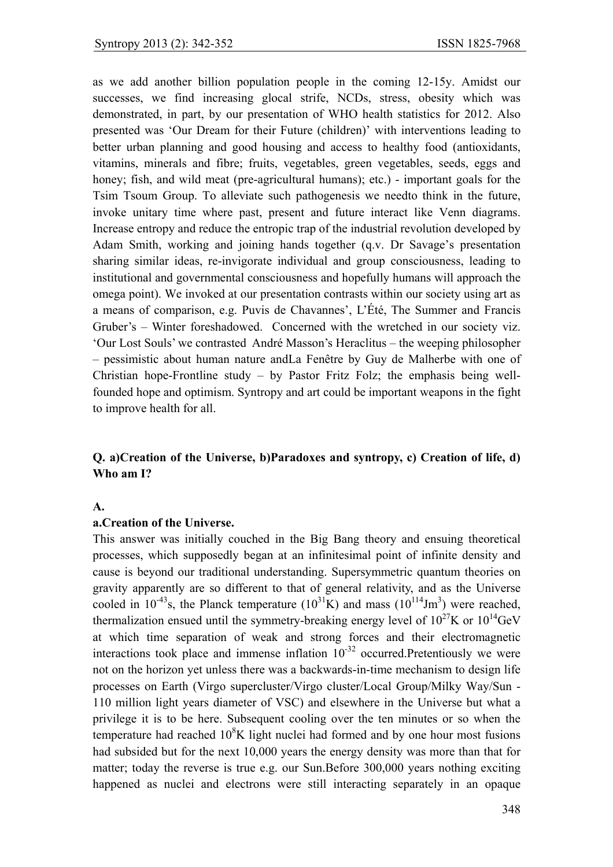as we add another billion population people in the coming 12-15y. Amidst our successes, we find increasing glocal strife, NCDs, stress, obesity which was demonstrated, in part, by our presentation of WHO health statistics for 2012. Also presented was 'Our Dream for their Future (children)' with interventions leading to better urban planning and good housing and access to healthy food (antioxidants, vitamins, minerals and fibre; fruits, vegetables, green vegetables, seeds, eggs and honey; fish, and wild meat (pre-agricultural humans); etc.) - important goals for the Tsim Tsoum Group. To alleviate such pathogenesis we needto think in the future, invoke unitary time where past, present and future interact like Venn diagrams. Increase entropy and reduce the entropic trap of the industrial revolution developed by Adam Smith, working and joining hands together (q.v. Dr Savage's presentation sharing similar ideas, re-invigorate individual and group consciousness, leading to institutional and governmental consciousness and hopefully humans will approach the omega point). We invoked at our presentation contrasts within our society using art as a means of comparison, e.g. Puvis de Chavannes', L'Été, The Summer and Francis Gruber's – Winter foreshadowed. Concerned with the wretched in our society viz. 'Our Lost Souls' we contrasted André Masson's Heraclitus – the weeping philosopher – pessimistic about human nature andLa Fenêtre by Guy de Malherbe with one of Christian hope-Frontline study – by Pastor Fritz Folz; the emphasis being wellfounded hope and optimism. Syntropy and art could be important weapons in the fight to improve health for all.

# **Q. a)Creation of the Universe, b)Paradoxes and syntropy, c) Creation of life, d) Who am I?**

#### **A.**

#### **a.Creation of the Universe.**

This answer was initially couched in the Big Bang theory and ensuing theoretical processes, which supposedly began at an infinitesimal point of infinite density and cause is beyond our traditional understanding. Supersymmetric quantum theories on gravity apparently are so different to that of general relativity, and as the Universe cooled in  $10^{-43}$ s, the Planck temperature  $(10^{31}$ K) and mass  $(10^{114}$ Jm<sup>3</sup>) were reached, thermalization ensued until the symmetry-breaking energy level of  $10^{27}$ K or  $10^{14}$ GeV at which time separation of weak and strong forces and their electromagnetic interactions took place and immense inflation  $10^{-32}$  occurred. Pretentiously we were not on the horizon yet unless there was a backwards-in-time mechanism to design life processes on Earth (Virgo supercluster/Virgo cluster/Local Group/Milky Way/Sun - 110 million light years diameter of VSC) and elsewhere in the Universe but what a privilege it is to be here. Subsequent cooling over the ten minutes or so when the temperature had reached  $10^8$ K light nuclei had formed and by one hour most fusions had subsided but for the next 10,000 years the energy density was more than that for matter; today the reverse is true e.g. our Sun.Before 300,000 years nothing exciting happened as nuclei and electrons were still interacting separately in an opaque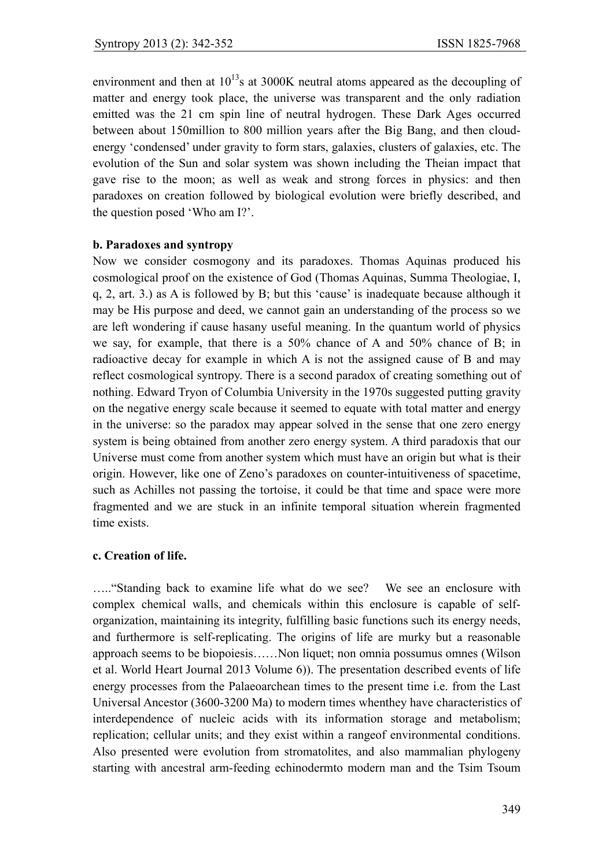environment and then at  $10^{13}$ s at 3000K neutral atoms appeared as the decoupling of matter and energy took place, the universe was transparent and the only radiation emitted was the 21 cm spin line of neutral hydrogen. These Dark Ages occurred between about 150million to 800 million years after the Big Bang, and then cloudenergy 'condensed' under gravity to form stars, galaxies, clusters of galaxies, etc. The evolution of the Sun and solar system was shown including the Theian impact that gave rise to the moon; as well as weak and strong forces in physics: and then paradoxes on creation followed by biological evolution were briefly described, and the question posed 'Who am I?'.

## **b. Paradoxes and syntropy**

Now we consider cosmogony and its paradoxes. Thomas Aquinas produced his cosmological proof on the existence of God (Thomas Aquinas, Summa Theologiae, I, q, 2, art. 3.) as A is followed by B; but this 'cause' is inadequate because although it may be His purpose and deed, we cannot gain an understanding of the process so we are left wondering if cause hasany useful meaning. In the quantum world of physics we say, for example, that there is a 50% chance of A and 50% chance of B; in radioactive decay for example in which A is not the assigned cause of B and may reflect cosmological syntropy. There is a second paradox of creating something out of nothing. Edward Tryon of Columbia University in the 1970s suggested putting gravity on the negative energy scale because it seemed to equate with total matter and energy in the universe: so the paradox may appear solved in the sense that one zero energy system is being obtained from another zero energy system. A third paradoxis that our Universe must come from another system which must have an origin but what is their origin. However, like one of Zeno's paradoxes on counter-intuitiveness of spacetime, such as Achilles not passing the tortoise, it could be that time and space were more fragmented and we are stuck in an infinite temporal situation wherein fragmented time exists.

## **c. Creation of life.**

….."Standing back to examine life what do we see? We see an enclosure with complex chemical walls, and chemicals within this enclosure is capable of selforganization, maintaining its integrity, fulfilling basic functions such its energy needs, and furthermore is self-replicating. The origins of life are murky but a reasonable approach seems to be biopoiesis……Non liquet; non omnia possumus omnes (Wilson et al. World Heart Journal 2013 Volume 6)). The presentation described events of life energy processes from the Palaeoarchean times to the present time i.e. from the Last Universal Ancestor (3600-3200 Ma) to modern times whenthey have characteristics of interdependence of nucleic acids with its information storage and metabolism; replication; cellular units; and they exist within a rangeof environmental conditions. Also presented were evolution from stromatolites, and also mammalian phylogeny starting with ancestral arm-feeding echinodermto modern man and the Tsim Tsoum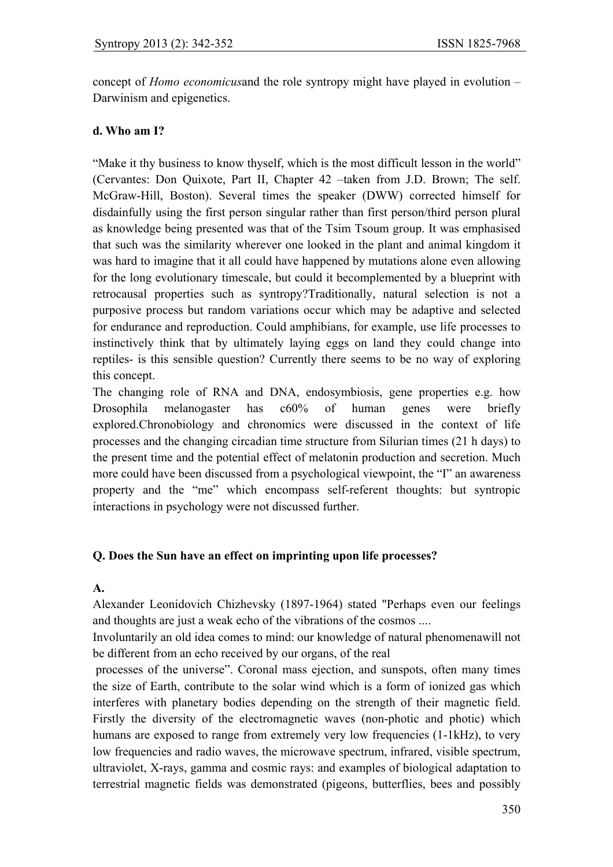concept of *Homo economicus*and the role syntropy might have played in evolution – Darwinism and epigenetics.

## **d. Who am I?**

"Make it thy business to know thyself, which is the most difficult lesson in the world" (Cervantes: Don Quixote, Part II, Chapter 42 –taken from J.D. Brown; The self. McGraw-Hill, Boston). Several times the speaker (DWW) corrected himself for disdainfully using the first person singular rather than first person/third person plural as knowledge being presented was that of the Tsim Tsoum group. It was emphasised that such was the similarity wherever one looked in the plant and animal kingdom it was hard to imagine that it all could have happened by mutations alone even allowing for the long evolutionary timescale, but could it becomplemented by a blueprint with retrocausal properties such as syntropy?Traditionally, natural selection is not a purposive process but random variations occur which may be adaptive and selected for endurance and reproduction. Could amphibians, for example, use life processes to instinctively think that by ultimately laying eggs on land they could change into reptiles- is this sensible question? Currently there seems to be no way of exploring this concept.

The changing role of RNA and DNA, endosymbiosis, gene properties e.g. how Drosophila melanogaster has c60% of human genes were briefly explored.Chronobiology and chronomics were discussed in the context of life processes and the changing circadian time structure from Silurian times (21 h days) to the present time and the potential effect of melatonin production and secretion. Much more could have been discussed from a psychological viewpoint, the "I" an awareness property and the "me" which encompass self-referent thoughts: but syntropic interactions in psychology were not discussed further.

# **Q. Does the Sun have an effect on imprinting upon life processes?**

#### **A.**

Alexander Leonidovich Chizhevsky (1897-1964) stated "Perhaps even our feelings and thoughts are just a weak echo of the vibrations of the cosmos ....

Involuntarily an old idea comes to mind: our knowledge of natural phenomenawill not be different from an echo received by our organs, of the real

 processes of the universe". Coronal mass ejection, and sunspots, often many times the size of Earth, contribute to the solar wind which is a form of ionized gas which interferes with planetary bodies depending on the strength of their magnetic field. Firstly the diversity of the electromagnetic waves (non-photic and photic) which humans are exposed to range from extremely very low frequencies (1-1kHz), to very low frequencies and radio waves, the microwave spectrum, infrared, visible spectrum, ultraviolet, X-rays, gamma and cosmic rays: and examples of biological adaptation to terrestrial magnetic fields was demonstrated (pigeons, butterflies, bees and possibly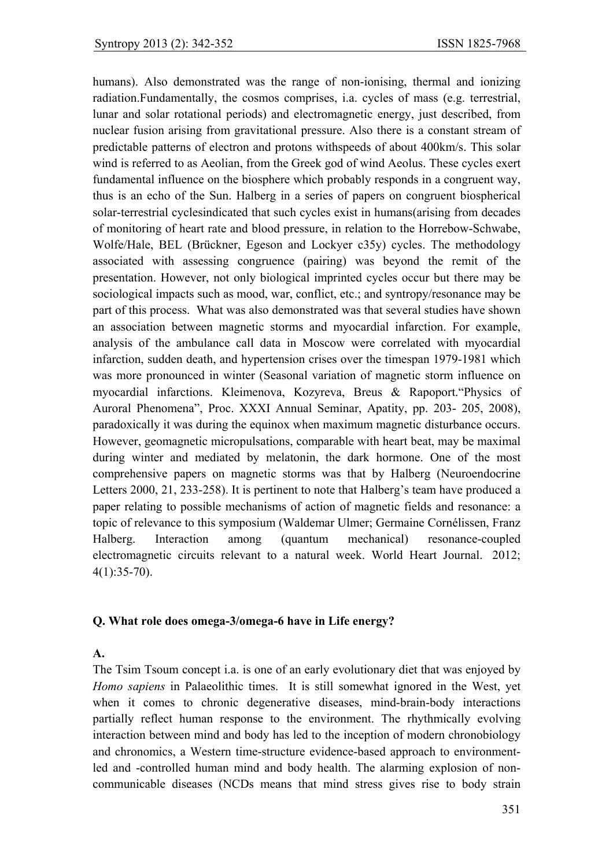humans). Also demonstrated was the range of non-ionising, thermal and ionizing radiation.Fundamentally, the cosmos comprises, i.a. cycles of mass (e.g. terrestrial, lunar and solar rotational periods) and electromagnetic energy, just described, from nuclear fusion arising from gravitational pressure. Also there is a constant stream of predictable patterns of electron and protons withspeeds of about 400km/s. This solar wind is referred to as Aeolian, from the Greek god of wind Aeolus. These cycles exert fundamental influence on the biosphere which probably responds in a congruent way, thus is an echo of the Sun. Halberg in a series of papers on congruent biospherical solar-terrestrial cyclesindicated that such cycles exist in humans(arising from decades of monitoring of heart rate and blood pressure, in relation to the Horrebow-Schwabe, Wolfe/Hale, BEL (Brückner, Egeson and Lockyer c35y) cycles. The methodology associated with assessing congruence (pairing) was beyond the remit of the presentation. However, not only biological imprinted cycles occur but there may be sociological impacts such as mood, war, conflict, etc.; and syntropy/resonance may be part of this process. What was also demonstrated was that several studies have shown an association between magnetic storms and myocardial infarction. For example, analysis of the ambulance call data in Moscow were correlated with myocardial infarction, sudden death, and hypertension crises over the timespan 1979-1981 which was more pronounced in winter (Seasonal variation of magnetic storm influence on myocardial infarctions. Kleimenova, Kozyreva, Breus & Rapoport."Physics of Auroral Phenomena", Proc. XXXI Annual Seminar, Apatity, pp. 203- 205, 2008), paradoxically it was during the equinox when maximum magnetic disturbance occurs. However, geomagnetic micropulsations, comparable with heart beat, may be maximal during winter and mediated by melatonin, the dark hormone. One of the most comprehensive papers on magnetic storms was that by Halberg (Neuroendocrine Letters 2000, 21, 233-258). It is pertinent to note that Halberg's team have produced a paper relating to possible mechanisms of action of magnetic fields and resonance: a topic of relevance to this symposium (Waldemar Ulmer; Germaine Cornélissen, Franz Halberg. Interaction among (quantum mechanical) resonance-coupled electromagnetic circuits relevant to a natural week. World Heart Journal.2012; 4(1):35-70).

#### **Q. What role does omega-3/omega-6 have in Life energy?**

## **A.**

The Tsim Tsoum concept i.a. is one of an early evolutionary diet that was enjoyed by *Homo sapiens* in Palaeolithic times. It is still somewhat ignored in the West, yet when it comes to chronic degenerative diseases, mind-brain-body interactions partially reflect human response to the environment. The rhythmically evolving interaction between mind and body has led to the inception of modern chronobiology and chronomics, a Western time-structure evidence-based approach to environmentled and -controlled human mind and body health. The alarming explosion of noncommunicable diseases (NCDs means that mind stress gives rise to body strain